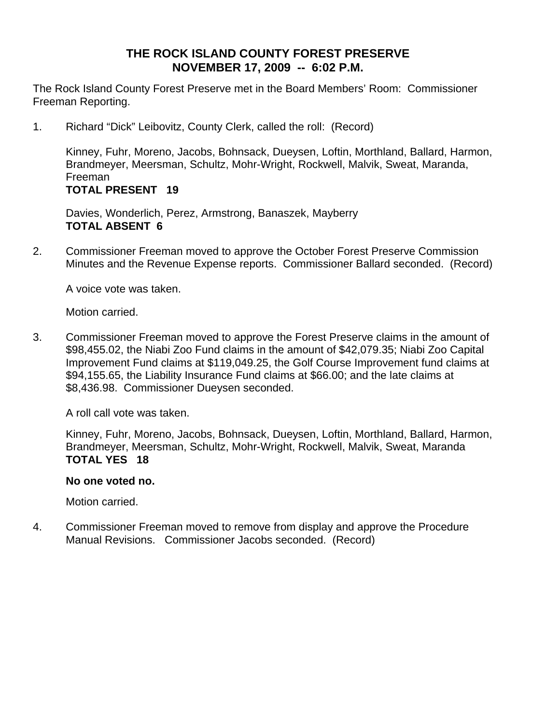# **THE ROCK ISLAND COUNTY FOREST PRESERVE NOVEMBER 17, 2009 -- 6:02 P.M.**

The Rock Island County Forest Preserve met in the Board Members' Room: Commissioner Freeman Reporting.

1. Richard "Dick" Leibovitz, County Clerk, called the roll: (Record)

Kinney, Fuhr, Moreno, Jacobs, Bohnsack, Dueysen, Loftin, Morthland, Ballard, Harmon, Brandmeyer, Meersman, Schultz, Mohr-Wright, Rockwell, Malvik, Sweat, Maranda, Freeman **TOTAL PRESENT 19** 

Davies, Wonderlich, Perez, Armstrong, Banaszek, Mayberry **TOTAL ABSENT 6**

2. Commissioner Freeman moved to approve the October Forest Preserve Commission Minutes and the Revenue Expense reports. Commissioner Ballard seconded. (Record)

A voice vote was taken.

Motion carried.

3. Commissioner Freeman moved to approve the Forest Preserve claims in the amount of \$98,455.02, the Niabi Zoo Fund claims in the amount of \$42,079.35; Niabi Zoo Capital Improvement Fund claims at \$119,049.25, the Golf Course Improvement fund claims at \$94,155.65, the Liability Insurance Fund claims at \$66.00; and the late claims at \$8,436.98. Commissioner Dueysen seconded.

A roll call vote was taken.

Kinney, Fuhr, Moreno, Jacobs, Bohnsack, Dueysen, Loftin, Morthland, Ballard, Harmon, Brandmeyer, Meersman, Schultz, Mohr-Wright, Rockwell, Malvik, Sweat, Maranda **TOTAL YES 18** 

### **No one voted no.**

Motion carried.

4. Commissioner Freeman moved to remove from display and approve the Procedure Manual Revisions. Commissioner Jacobs seconded. (Record)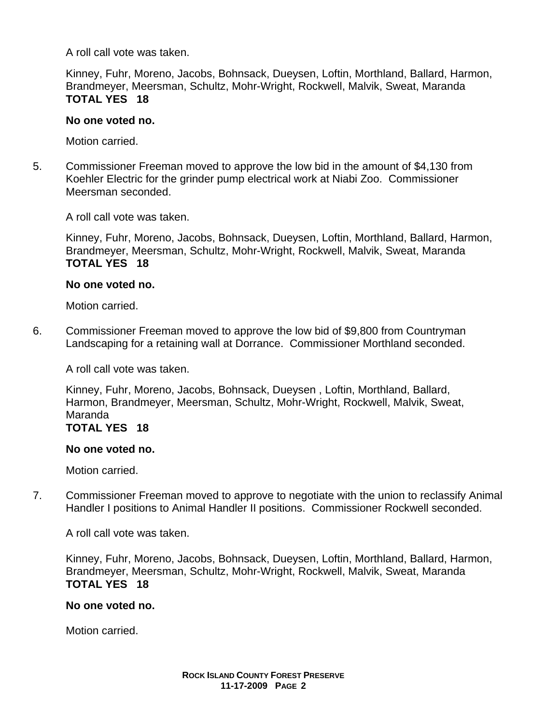A roll call vote was taken.

Kinney, Fuhr, Moreno, Jacobs, Bohnsack, Dueysen, Loftin, Morthland, Ballard, Harmon, Brandmeyer, Meersman, Schultz, Mohr-Wright, Rockwell, Malvik, Sweat, Maranda **TOTAL YES 18** 

#### **No one voted no.**

Motion carried.

5. Commissioner Freeman moved to approve the low bid in the amount of \$4,130 from Koehler Electric for the grinder pump electrical work at Niabi Zoo. Commissioner Meersman seconded.

A roll call vote was taken.

Kinney, Fuhr, Moreno, Jacobs, Bohnsack, Dueysen, Loftin, Morthland, Ballard, Harmon, Brandmeyer, Meersman, Schultz, Mohr-Wright, Rockwell, Malvik, Sweat, Maranda **TOTAL YES 18** 

### **No one voted no.**

Motion carried.

6. Commissioner Freeman moved to approve the low bid of \$9,800 from Countryman Landscaping for a retaining wall at Dorrance. Commissioner Morthland seconded.

A roll call vote was taken.

Kinney, Fuhr, Moreno, Jacobs, Bohnsack, Dueysen , Loftin, Morthland, Ballard, Harmon, Brandmeyer, Meersman, Schultz, Mohr-Wright, Rockwell, Malvik, Sweat, Maranda

### **TOTAL YES 18**

#### **No one voted no.**

Motion carried.

7. Commissioner Freeman moved to approve to negotiate with the union to reclassify Animal Handler I positions to Animal Handler II positions. Commissioner Rockwell seconded.

A roll call vote was taken.

Kinney, Fuhr, Moreno, Jacobs, Bohnsack, Dueysen, Loftin, Morthland, Ballard, Harmon, Brandmeyer, Meersman, Schultz, Mohr-Wright, Rockwell, Malvik, Sweat, Maranda **TOTAL YES 18** 

### **No one voted no.**

Motion carried.